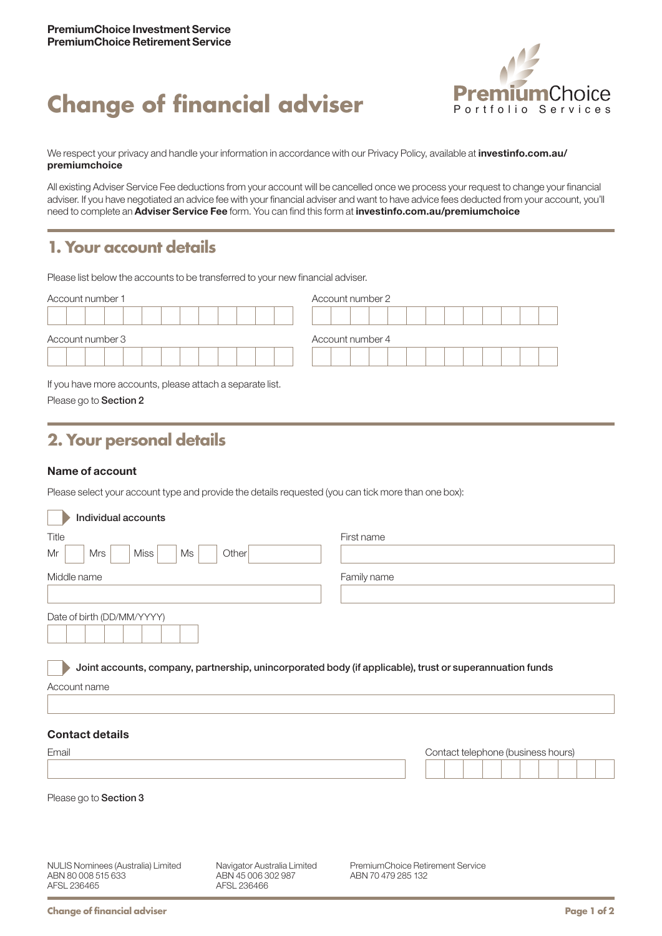# **Change of financial adviser**



We respect your privacy and handle your information in accordance with our Privacy Policy, available at *[investinfo.com.au/](http://investinfo.com.au/premiumchoice)* [premiumchoice](http://investinfo.com.au/premiumchoice)

All existing Adviser Service Fee deductions from your account will be cancelled once we process your request to change your financial adviser. If you have negotiated an advice fee with your financial adviser and want to have advice fees deducted from your account, you'll need to complete an Adviser Service Fee form. You can find this form at [investinfo.com.au/premiumchoice](http://investinfo.com.au/premiumchoice)

## **1. Your account details**

Please list below the accounts to be transferred to your new financial adviser.

| Account number 1 | Account number 2 |  |  |  |  |
|------------------|------------------|--|--|--|--|
|                  |                  |  |  |  |  |
|                  |                  |  |  |  |  |
| Account number 3 | Account number 4 |  |  |  |  |
|                  |                  |  |  |  |  |

If you have more accounts, please attach a separate list. Please go to Section 2

## **2. Your personal details**

#### Name of account

Please select your account type and provide the details requested (you can tick more than one box):

| Individual accounts                                                                                                      |                                                                  |                                                        |  |  |                                    |  |  |  |  |
|--------------------------------------------------------------------------------------------------------------------------|------------------------------------------------------------------|--------------------------------------------------------|--|--|------------------------------------|--|--|--|--|
| Title                                                                                                                    | First name                                                       |                                                        |  |  |                                    |  |  |  |  |
| <b>Miss</b><br>Mr<br><b>Mrs</b><br>Ms                                                                                    | Other                                                            |                                                        |  |  |                                    |  |  |  |  |
| Middle name                                                                                                              |                                                                  | Family name                                            |  |  |                                    |  |  |  |  |
|                                                                                                                          |                                                                  |                                                        |  |  |                                    |  |  |  |  |
| Date of birth (DD/MM/YYYY)                                                                                               |                                                                  |                                                        |  |  |                                    |  |  |  |  |
| Joint accounts, company, partnership, unincorporated body (if applicable), trust or superannuation funds<br>Account name |                                                                  |                                                        |  |  |                                    |  |  |  |  |
|                                                                                                                          |                                                                  |                                                        |  |  |                                    |  |  |  |  |
| <b>Contact details</b>                                                                                                   |                                                                  |                                                        |  |  |                                    |  |  |  |  |
| Email                                                                                                                    |                                                                  |                                                        |  |  | Contact telephone (business hours) |  |  |  |  |
|                                                                                                                          |                                                                  |                                                        |  |  |                                    |  |  |  |  |
| Please go to Section 3                                                                                                   |                                                                  |                                                        |  |  |                                    |  |  |  |  |
|                                                                                                                          |                                                                  |                                                        |  |  |                                    |  |  |  |  |
| NULIS Nominees (Australia) Limited<br>ABN 80 008 515 633<br>AFSL 236465                                                  | Navigator Australia Limited<br>ABN 45 006 302 987<br>AFSL 236466 | PremiumChoice Retirement Service<br>ABN 70 479 285 132 |  |  |                                    |  |  |  |  |